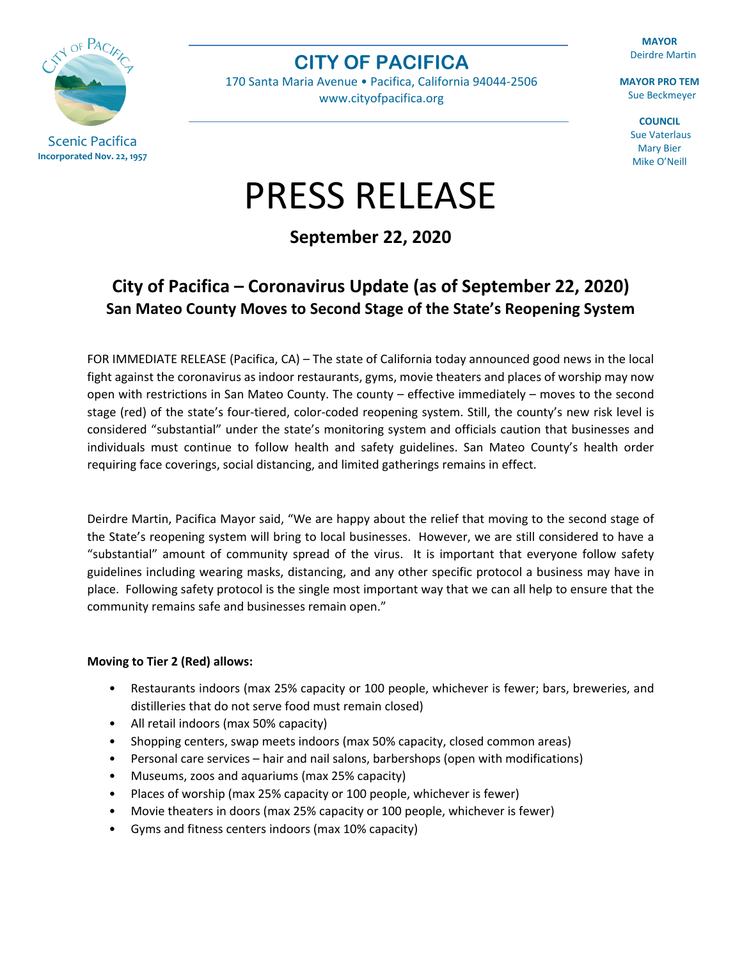

**CITY OF PACIFICA**

170 Santa Maria Avenue • Pacifica, California 94044-2506 [www.cityofpacifica.org](http://www.cityofpacifica.org/)

**MAYOR** Deirdre Martin

**MAYOR PRO TEM** Sue Beckmeyer

> **COUNCIL** Sue Vaterlaus Mary Bier Mike O'Neill

## PRESS RELEASE

**September 22, 2020**

## **City of Pacifica – Coronavirus Update (as of September 22, 2020) San Mateo County Moves to Second Stage of the State's Reopening System**

FOR IMMEDIATE RELEASE (Pacifica, CA) – The state of California today announced good news in the local fight against the coronavirus as indoor restaurants, gyms, movie theaters and places of worship may now open with restrictions in San Mateo County. The county – effective immediately – moves to the second stage (red) of the state's four-tiered, color-coded reopening system. Still, the county's new risk level is considered "substantial" under the state's monitoring system and officials caution that businesses and individuals must continue to follow health and safety guidelines. San Mateo County's health order requiring face coverings, social distancing, and limited gatherings remains in effect.

Deirdre Martin, Pacifica Mayor said, "We are happy about the relief that moving to the second stage of the State's reopening system will bring to local businesses. However, we are still considered to have a "substantial" amount of community spread of the virus. It is important that everyone follow safety guidelines including wearing masks, distancing, and any other specific protocol a business may have in place. Following safety protocol is the single most important way that we can all help to ensure that the community remains safe and businesses remain open."

## **Moving to Tier 2 (Red) allows:**

- Restaurants indoors (max 25% capacity or 100 people, whichever is fewer; bars, breweries, and distilleries that do not serve food must remain closed)
- All retail indoors (max 50% capacity)
- Shopping centers, swap meets indoors (max 50% capacity, closed common areas)
- Personal care services hair and nail salons, barbershops (open with modifications)
- Museums, zoos and aquariums (max 25% capacity)
- Places of worship (max 25% capacity or 100 people, whichever is fewer)
- Movie theaters in doors (max 25% capacity or 100 people, whichever is fewer)
- Gyms and fitness centers indoors (max 10% capacity)